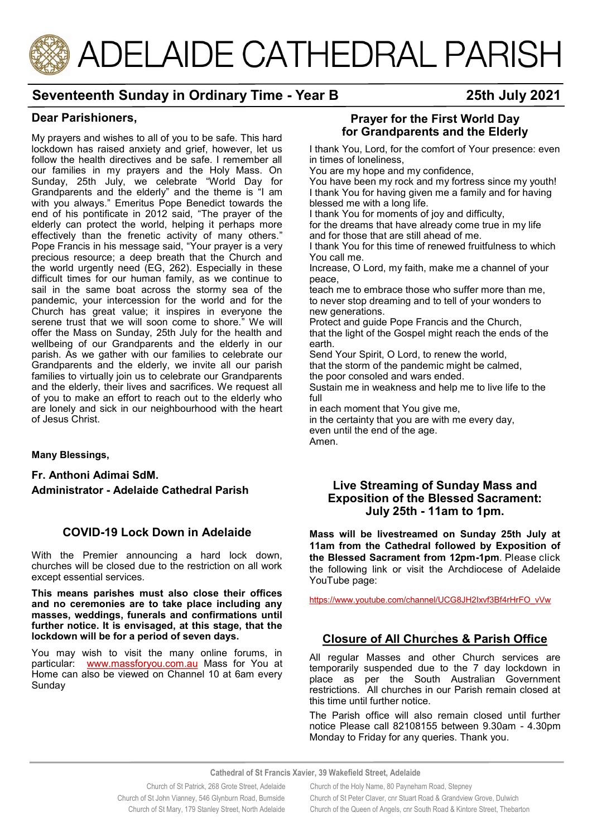# ADELAIDE CATHEDRAL PARISH

# **Seventeenth Sunday in Ordinary Time - Year B 25th July 2021**

#### **Dear Parishioners,**

My prayers and wishes to all of you to be safe. This hard lockdown has raised anxiety and grief, however, let us follow the health directives and be safe. I remember all our families in my prayers and the Holy Mass. On Sunday, 25th July, we celebrate "World Day for Grandparents and the elderly" and the theme is "I am with you always." Emeritus Pope Benedict towards the end of his pontificate in 2012 said, "The prayer of the elderly can protect the world, helping it perhaps more effectively than the frenetic activity of many others." Pope Francis in his message said, "Your prayer is a very precious resource; a deep breath that the Church and the world urgently need (EG, 262). Especially in these difficult times for our human family, as we continue to sail in the same boat across the stormy sea of the pandemic, your intercession for the world and for the Church has great value; it inspires in everyone the serene trust that we will soon come to shore." We will offer the Mass on Sunday, 25th July for the health and wellbeing of our Grandparents and the elderly in our parish. As we gather with our families to celebrate our Grandparents and the elderly, we invite all our parish families to virtually join us to celebrate our Grandparents and the elderly, their lives and sacrifices. We request all of you to make an effort to reach out to the elderly who are lonely and sick in our neighbourhood with the heart of Jesus Christ.

**Many Blessings,** 

**Fr. Anthoni Adimai SdM. Administrator - Adelaide Cathedral Parish** 

#### **COVID-19 Lock Down in Adelaide**

With the Premier announcing a hard lock down, churches will be closed due to the restriction on all work except essential services.

**This means parishes must also close their offices and no ceremonies are to take place including any masses, weddings, funerals and confirmations until further notice. It is envisaged, at this stage, that the lockdown will be for a period of seven days.** 

You may wish to visit the many online forums, in particular: [www.massforyou.com.au](http://www.massforyou.com.au) Mass for You at Home can also be viewed on Channel 10 at 6am every Sunday

#### **Prayer for the First World Day for Grandparents and the Elderly**

I thank You, Lord, for the comfort of Your presence: even in times of loneliness,

You are my hope and my confidence,

You have been my rock and my fortress since my youth! I thank You for having given me a family and for having blessed me with a long life.

I thank You for moments of joy and difficulty,

for the dreams that have already come true in my life and for those that are still ahead of me.

I thank You for this time of renewed fruitfulness to which You call me.

Increase, O Lord, my faith, make me a channel of your peace,

teach me to embrace those who suffer more than me, to never stop dreaming and to tell of your wonders to new generations.

Protect and guide Pope Francis and the Church, that the light of the Gospel might reach the ends of the earth.

Send Your Spirit, O Lord, to renew the world, that the storm of the pandemic might be calmed, the poor consoled and wars ended.

Sustain me in weakness and help me to live life to the full

in each moment that You give me,

in the certainty that you are with me every day, even until the end of the age. Amen.

#### **Live Streaming of Sunday Mass and Exposition of the Blessed Sacrament: July 25th - 11am to 1pm.**

**Mass will be livestreamed on Sunday 25th July at 11am from the Cathedral followed by Exposition of the Blessed Sacrament from 12pm-1pm**. Please click the following link or visit the Archdiocese of Adelaide YouTube page:

[https://www.youtube.com/channel/UCG8JH2Ixvf3Bf4rHrFO\\_vVw](https://www.youtube.com/channel/UCG8JH2Ixvf3Bf4rHrFO_vVw)

#### **Closure of All Churches & Parish Office**

All regular Masses and other Church services are temporarily suspended due to the 7 day lockdown in place as per the South Australian Government restrictions. All churches in our Parish remain closed at this time until further notice.

The Parish office will also remain closed until further notice Please call 82108155 between 9.30am - 4.30pm Monday to Friday for any queries. Thank you.